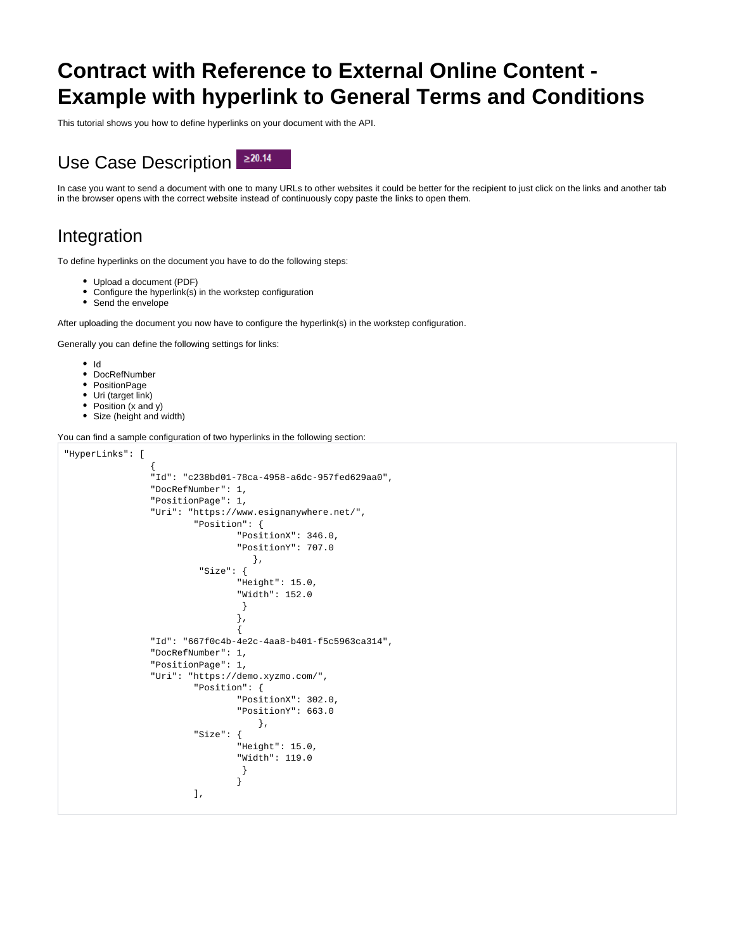## **Contract with Reference to External Online Content - Example with hyperlink to General Terms and Conditions**

This tutorial shows you how to define hyperlinks on your document with the API.

## $\geq 20.14$ Use Case Description

In case you want to send a document with one to many URLs to other websites it could be better for the recipient to just click on the links and another tab in the browser opens with the correct website instead of continuously copy paste the links to open them.

## Integration

To define hyperlinks on the document you have to do the following steps:

- Upload a document (PDF)
- Configure the hyperlink(s) in the workstep configuration
- Send the envelope

After uploading the document you now have to configure the hyperlink(s) in the workstep configuration.

Generally you can define the following settings for links:

- $\bullet$  Id
- DocRefNumber
- PositionPage
- Uri (target link)
- Position (x and y)
- Size (height and width)

You can find a sample configuration of two hyperlinks in the following section:

```
"HyperLinks": [
\{ "Id": "c238bd01-78ca-4958-a6dc-957fed629aa0",
              "DocRefNumber": 1,
              "PositionPage": 1,
              "Uri": "https://www.esignanywhere.net/",
                     "Position": {
                           "PositionX": 346.0,
                           "PositionY": 707.0
, and the contract of the contract of \} , \{ "Size": {
                            "Height": 15.0,
                            "Width": 152.0
 }
\} , we have the contract of \} ,
 {
              "Id": "667f0c4b-4e2c-4aa8-b401-f5c5963ca314",
              "DocRefNumber": 1,
              "PositionPage": 1,
              "Uri": "https://demo.xyzmo.com/",
                     "Position": {
                            "PositionX": 302.0,
                           "PositionY": 663.0
, where the contract of the contract of \{ \} , \{ \} "Size": {
                            "Height": 15.0,
                            "Width": 119.0
 }
 }
 ],
```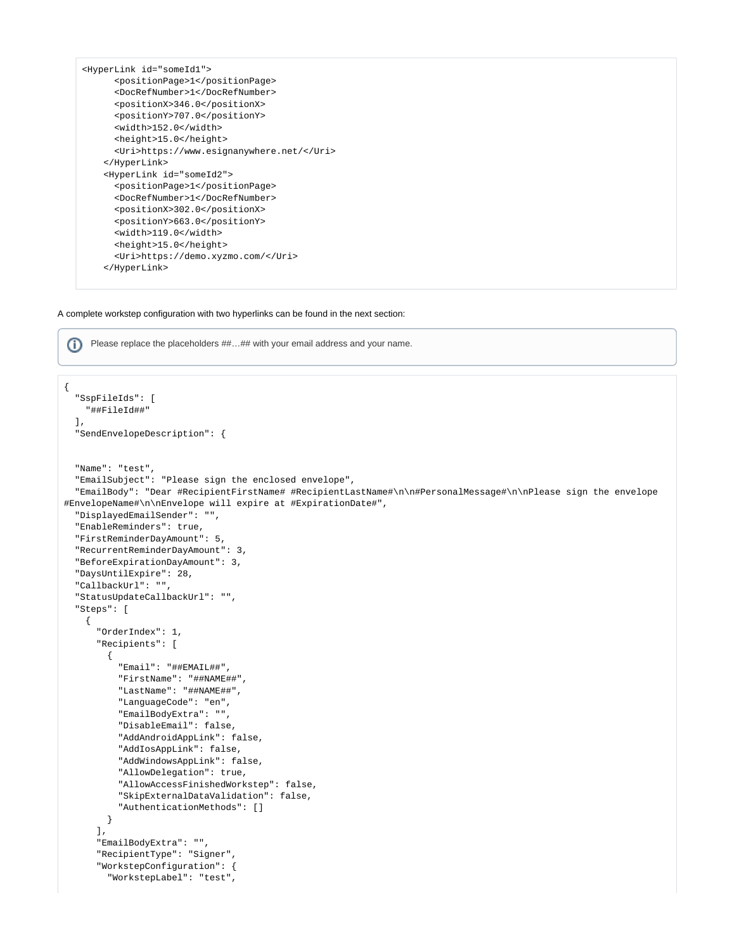```
<HyperLink id="someId1">
       <positionPage>1</positionPage>
       <DocRefNumber>1</DocRefNumber>
       <positionX>346.0</positionX>
       <positionY>707.0</positionY>
       <width>152.0</width>
       <height>15.0</height>
       <Uri>https://www.esignanywhere.net/</Uri>
    </HyperLink>
    <HyperLink id="someId2">
       <positionPage>1</positionPage>
       <DocRefNumber>1</DocRefNumber>
       <positionX>302.0</positionX>
       <positionY>663.0</positionY>
       <width>119.0</width>
       <height>15.0</height>
       <Uri>https://demo.xyzmo.com/</Uri>
    </HyperLink>
```
A complete workstep configuration with two hyperlinks can be found in the next section:

Please replace the placeholders ##...## with your email address and your name.

```
{
   "SspFileIds": [
    "##FileId##"
  ],
  "SendEnvelopeDescription": {
  "Name": "test",
   "EmailSubject": "Please sign the enclosed envelope",
  "EmailBody": "Dear #RecipientFirstName# #RecipientLastName#\n\n#PersonalMessage#\n\nPlease sign the envelope 
#EnvelopeName#\n\nEnvelope will expire at #ExpirationDate#",
  "DisplayedEmailSender": "",
   "EnableReminders": true,
   "FirstReminderDayAmount": 5,
   "RecurrentReminderDayAmount": 3,
  "BeforeExpirationDayAmount": 3,
  "DaysUntilExpire": 28,
  "CallbackUrl": "",
  "StatusUpdateCallbackUrl": "",
   "Steps": [
     {
       "OrderIndex": 1,
       "Recipients": [
         {
           "Email": "##EMAIL##",
           "FirstName": "##NAME##",
           "LastName": "##NAME##",
           "LanguageCode": "en",
           "EmailBodyExtra": "",
           "DisableEmail": false,
           "AddAndroidAppLink": false,
           "AddIosAppLink": false,
           "AddWindowsAppLink": false,
           "AllowDelegation": true,
           "AllowAccessFinishedWorkstep": false,
           "SkipExternalDataValidation": false,
           "AuthenticationMethods": []
         }
       ],
       "EmailBodyExtra": "",
       "RecipientType": "Signer",
       "WorkstepConfiguration": {
         "WorkstepLabel": "test",
```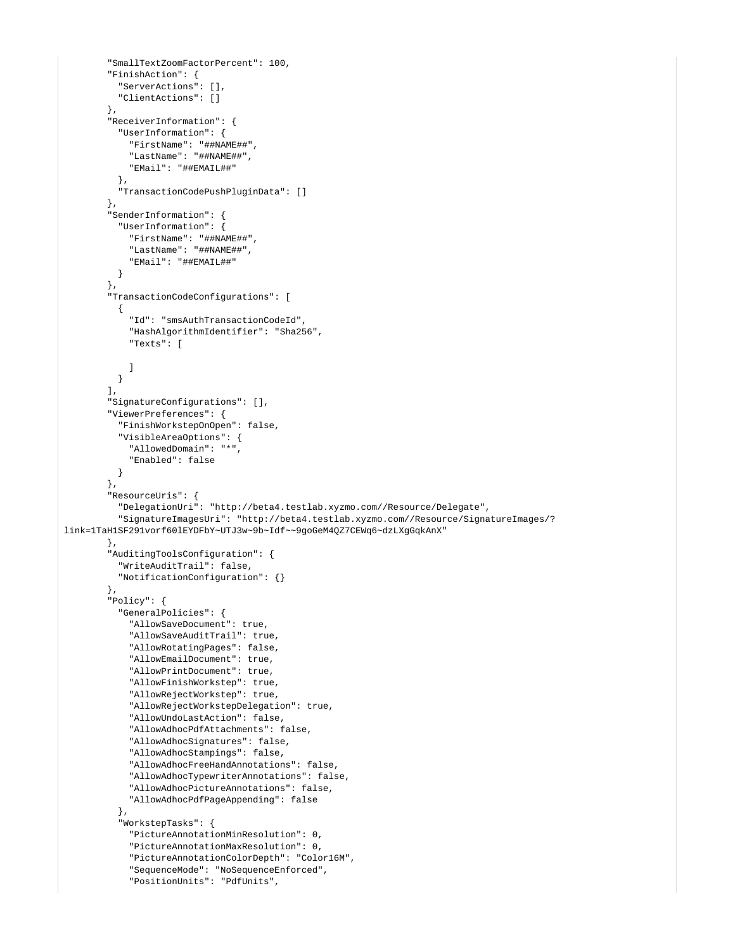```
 "SmallTextZoomFactorPercent": 100,
         "FinishAction": {
           "ServerActions": [],
           "ClientActions": []
         },
         "ReceiverInformation": {
           "UserInformation": {
             "FirstName": "##NAME##",
             "LastName": "##NAME##",
             "EMail": "##EMAIL##"
           },
           "TransactionCodePushPluginData": []
         },
         "SenderInformation": {
           "UserInformation": {
             "FirstName": "##NAME##",
             "LastName": "##NAME##",
            "EMail": "##EMAIL##"
           }
         },
         "TransactionCodeConfigurations": [
           {
             "Id": "smsAuthTransactionCodeId",
             "HashAlgorithmIdentifier": "Sha256",
             "Texts": [
            ]
           }
         ],
         "SignatureConfigurations": [],
         "ViewerPreferences": {
           "FinishWorkstepOnOpen": false,
           "VisibleAreaOptions": {
             "AllowedDomain": "*",
             "Enabled": false
          }
         },
         "ResourceUris": {
           "DelegationUri": "http://beta4.testlab.xyzmo.com//Resource/Delegate",
           "SignatureImagesUri": "http://beta4.testlab.xyzmo.com//Resource/SignatureImages/?
link=1TaH1SF291vorf60lEYDFbY~UTJ3w~9b~Idf~~9goGeM4QZ7CEWq6~dzLXgGqkAnX"
         },
         "AuditingToolsConfiguration": {
           "WriteAuditTrail": false,
           "NotificationConfiguration": {}
         },
         "Policy": {
           "GeneralPolicies": {
             "AllowSaveDocument": true,
             "AllowSaveAuditTrail": true,
             "AllowRotatingPages": false,
             "AllowEmailDocument": true,
             "AllowPrintDocument": true,
             "AllowFinishWorkstep": true,
             "AllowRejectWorkstep": true,
             "AllowRejectWorkstepDelegation": true,
             "AllowUndoLastAction": false,
             "AllowAdhocPdfAttachments": false,
             "AllowAdhocSignatures": false,
             "AllowAdhocStampings": false,
             "AllowAdhocFreeHandAnnotations": false,
             "AllowAdhocTypewriterAnnotations": false,
             "AllowAdhocPictureAnnotations": false,
             "AllowAdhocPdfPageAppending": false
           },
           "WorkstepTasks": {
             "PictureAnnotationMinResolution": 0,
             "PictureAnnotationMaxResolution": 0,
             "PictureAnnotationColorDepth": "Color16M",
             "SequenceMode": "NoSequenceEnforced",
             "PositionUnits": "PdfUnits",
```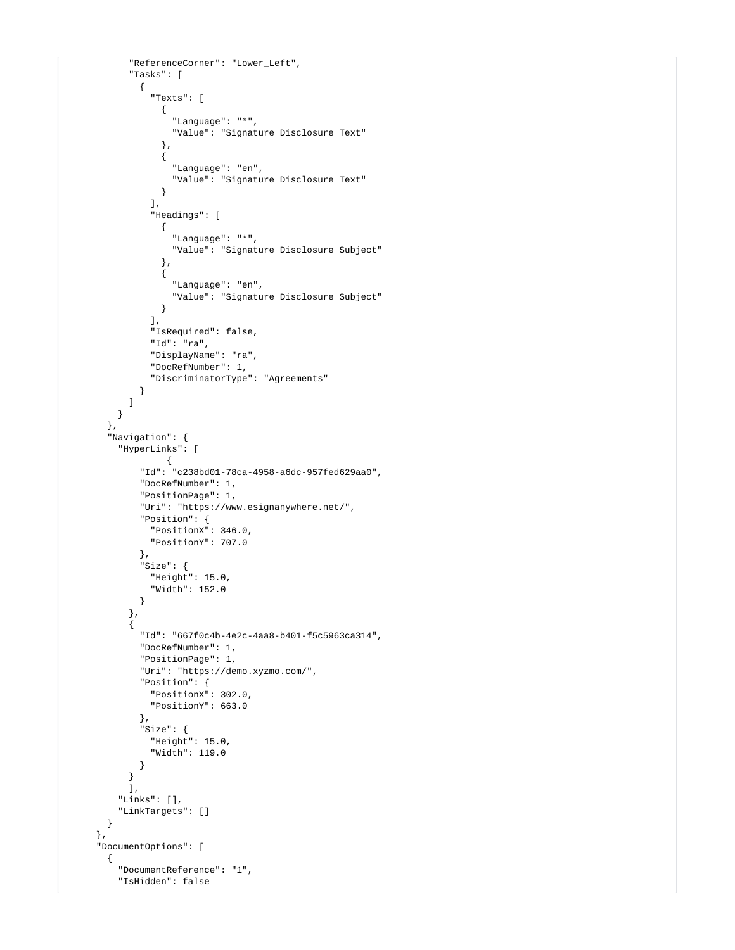```
 "ReferenceCorner": "Lower_Left",
            "Tasks": [
\{ "Texts": [
                 {
                    "Language": "*",
                    "Value": "Signature Disclosure Text"
                  },
\{ "Language": "en",
                   "Value": "Signature Disclosure Text"
 }
                ],
                "Headings": [
\{ "Language": "*",
                    "Value": "Signature Disclosure Subject"
                 },
\{ "Language": "en",
                    "Value": "Signature Disclosure Subject"
                 }
               ],
                "IsRequired": false,
                "Id": "ra",
                "DisplayName": "ra",
                "DocRefNumber": 1,
                "DiscriminatorType": "Agreements"
             }
           ]
          }
        },
        "Navigation": {
          "HyperLinks": [
                  {
              "Id": "c238bd01-78ca-4958-a6dc-957fed629aa0",
              "DocRefNumber": 1,
              "PositionPage": 1,
              "Uri": "https://www.esignanywhere.net/",
              "Position": {
               "PositionX": 346.0,
               "PositionY": 707.0
              },
              "Size": {
               "Height": 15.0,
                "Width": 152.0
 }
            },
\{ "Id": "667f0c4b-4e2c-4aa8-b401-f5c5963ca314",
             "DocRefNumber": 1,
              "PositionPage": 1,
              "Uri": "https://demo.xyzmo.com/",
              "Position": {
               "PositionX": 302.0,
               "PositionY": 663.0
              },
              "Size": {
               "Height": 15.0,
                "Width": 119.0
             }
 }
            ],
          "Links": [],
          "LinkTargets": []
        }
      },
      "DocumentOptions": [
        {
          "DocumentReference": "1",
          "IsHidden": false
```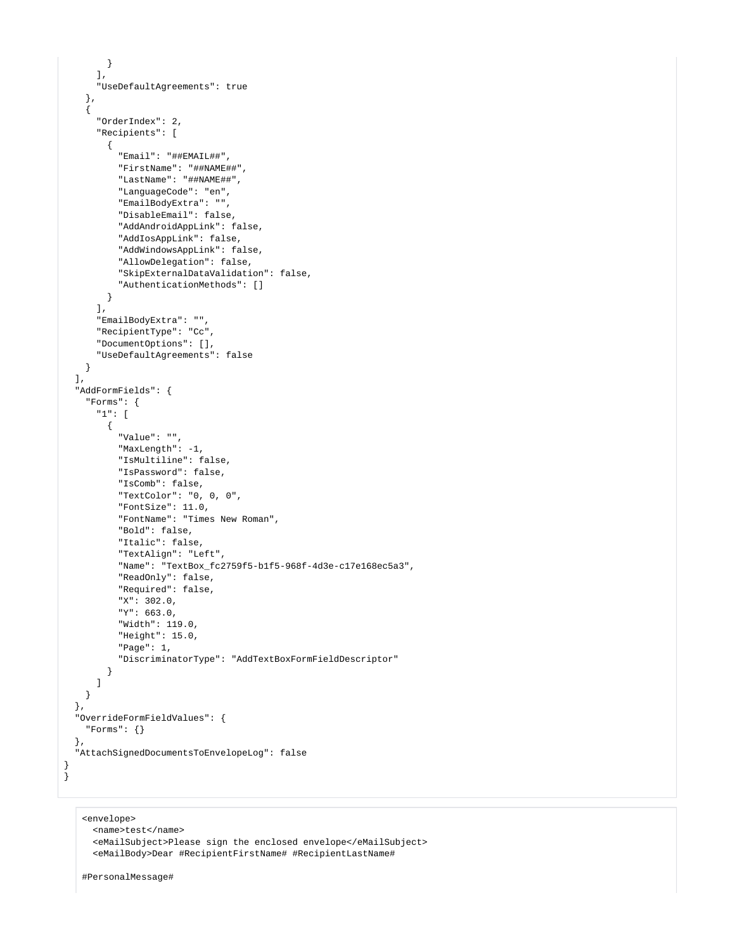```
 }
     ],
     "UseDefaultAgreements": true
   },
   {
     "OrderIndex": 2,
     "Recipients": [
       {
         "Email": "##EMAIL##",
         "FirstName": "##NAME##",
         "LastName": "##NAME##",
         "LanguageCode": "en",
         "EmailBodyExtra": "",
         "DisableEmail": false,
         "AddAndroidAppLink": false,
         "AddIosAppLink": false,
         "AddWindowsAppLink": false,
         "AllowDelegation": false,
         "SkipExternalDataValidation": false,
         "AuthenticationMethods": []
       }
     ],
     "EmailBodyExtra": "",
     "RecipientType": "Cc",
     "DocumentOptions": [],
     "UseDefaultAgreements": false
   }
 ],
 "AddFormFields": {
   "Forms": {
     "1": [
      {
         "Value": "",
         "MaxLength": -1,
         "IsMultiline": false,
         "IsPassword": false,
         "IsComb": false,
         "TextColor": "0, 0, 0",
         "FontSize": 11.0,
         "FontName": "Times New Roman",
         "Bold": false,
         "Italic": false,
         "TextAlign": "Left",
         "Name": "TextBox_fc2759f5-b1f5-968f-4d3e-c17e168ec5a3",
         "ReadOnly": false,
         "Required": false,
         "X": 302.0,
         "Y": 663.0,
         "Width": 119.0,
         "Height": 15.0,
         "Page": 1,
         "DiscriminatorType": "AddTextBoxFormFieldDescriptor"
       }
    ]
  }
 },
 "OverrideFormFieldValues": {
   "Forms": {}
 },
 "AttachSignedDocumentsToEnvelopeLog": false
```
<envelope> <name>test</name> <eMailSubject>Please sign the enclosed envelope</eMailSubject> <eMailBody>Dear #RecipientFirstName# #RecipientLastName#

#PersonalMessage#

} }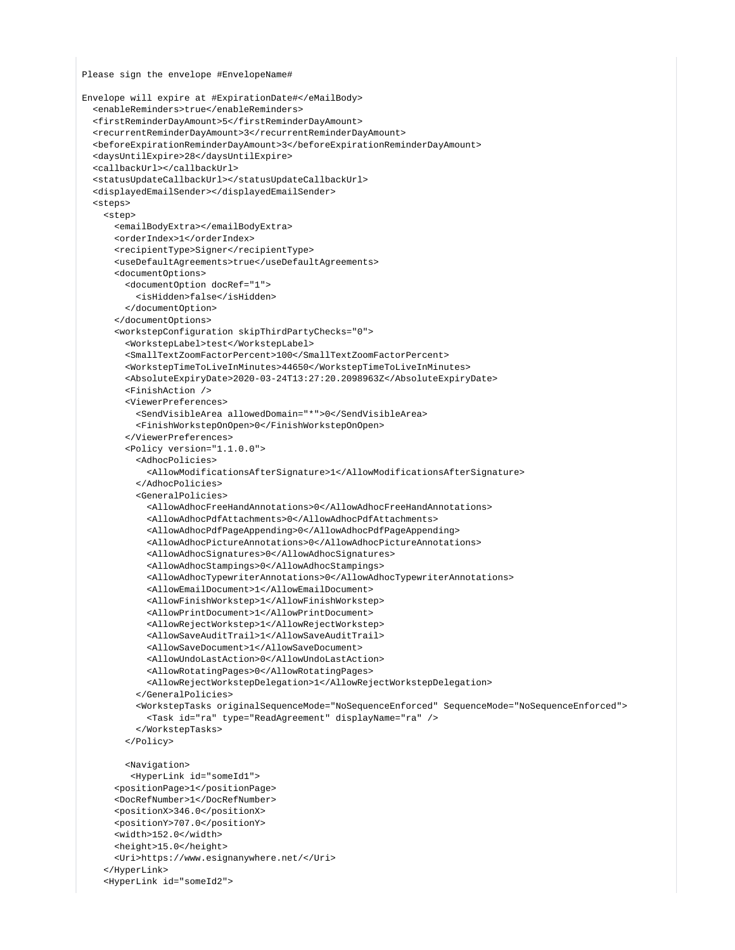Please sign the envelope #EnvelopeName#

```
Envelope will expire at #ExpirationDate#</eMailBody>
   <enableReminders>true</enableReminders>
   <firstReminderDayAmount>5</firstReminderDayAmount>
   <recurrentReminderDayAmount>3</recurrentReminderDayAmount>
   <beforeExpirationReminderDayAmount>3</beforeExpirationReminderDayAmount>
   <daysUntilExpire>28</daysUntilExpire>
   <callbackUrl></callbackUrl>
   <statusUpdateCallbackUrl></statusUpdateCallbackUrl>
   <displayedEmailSender></displayedEmailSender>
   <steps>
     <step>
       <emailBodyExtra></emailBodyExtra>
       <orderIndex>1</orderIndex>
       <recipientType>Signer</recipientType>
       <useDefaultAgreements>true</useDefaultAgreements>
       <documentOptions>
         <documentOption docRef="1">
           <isHidden>false</isHidden>
         </documentOption>
       </documentOptions>
       <workstepConfiguration skipThirdPartyChecks="0">
         <WorkstepLabel>test</WorkstepLabel>
         <SmallTextZoomFactorPercent>100</SmallTextZoomFactorPercent>
         <WorkstepTimeToLiveInMinutes>44650</WorkstepTimeToLiveInMinutes>
         <AbsoluteExpiryDate>2020-03-24T13:27:20.2098963Z</AbsoluteExpiryDate>
         <FinishAction />
         <ViewerPreferences>
           <SendVisibleArea allowedDomain="*">0</SendVisibleArea>
           <FinishWorkstepOnOpen>0</FinishWorkstepOnOpen>
         </ViewerPreferences>
         <Policy version="1.1.0.0">
           <AdhocPolicies>
             <AllowModificationsAfterSignature>1</AllowModificationsAfterSignature>
           </AdhocPolicies>
           <GeneralPolicies>
             <AllowAdhocFreeHandAnnotations>0</AllowAdhocFreeHandAnnotations>
             <AllowAdhocPdfAttachments>0</AllowAdhocPdfAttachments>
             <AllowAdhocPdfPageAppending>0</AllowAdhocPdfPageAppending>
             <AllowAdhocPictureAnnotations>0</AllowAdhocPictureAnnotations>
             <AllowAdhocSignatures>0</AllowAdhocSignatures>
             <AllowAdhocStampings>0</AllowAdhocStampings>
             <AllowAdhocTypewriterAnnotations>0</AllowAdhocTypewriterAnnotations>
             <AllowEmailDocument>1</AllowEmailDocument>
             <AllowFinishWorkstep>1</AllowFinishWorkstep>
             <AllowPrintDocument>1</AllowPrintDocument>
             <AllowRejectWorkstep>1</AllowRejectWorkstep>
             <AllowSaveAuditTrail>1</AllowSaveAuditTrail>
             <AllowSaveDocument>1</AllowSaveDocument>
             <AllowUndoLastAction>0</AllowUndoLastAction>
             <AllowRotatingPages>0</AllowRotatingPages>
             <AllowRejectWorkstepDelegation>1</AllowRejectWorkstepDelegation>
           </GeneralPolicies>
           <WorkstepTasks originalSequenceMode="NoSequenceEnforced" SequenceMode="NoSequenceEnforced">
             <Task id="ra" type="ReadAgreement" displayName="ra" />
           </WorkstepTasks>
         </Policy>
         <Navigation>
          <HyperLink id="someId1">
       <positionPage>1</positionPage>
       <DocRefNumber>1</DocRefNumber>
       <positionX>346.0</positionX>
       <positionY>707.0</positionY>
       <width>152.0</width>
       <height>15.0</height>
       <Uri>https://www.esignanywhere.net/</Uri>
     </HyperLink>
     <HyperLink id="someId2">
```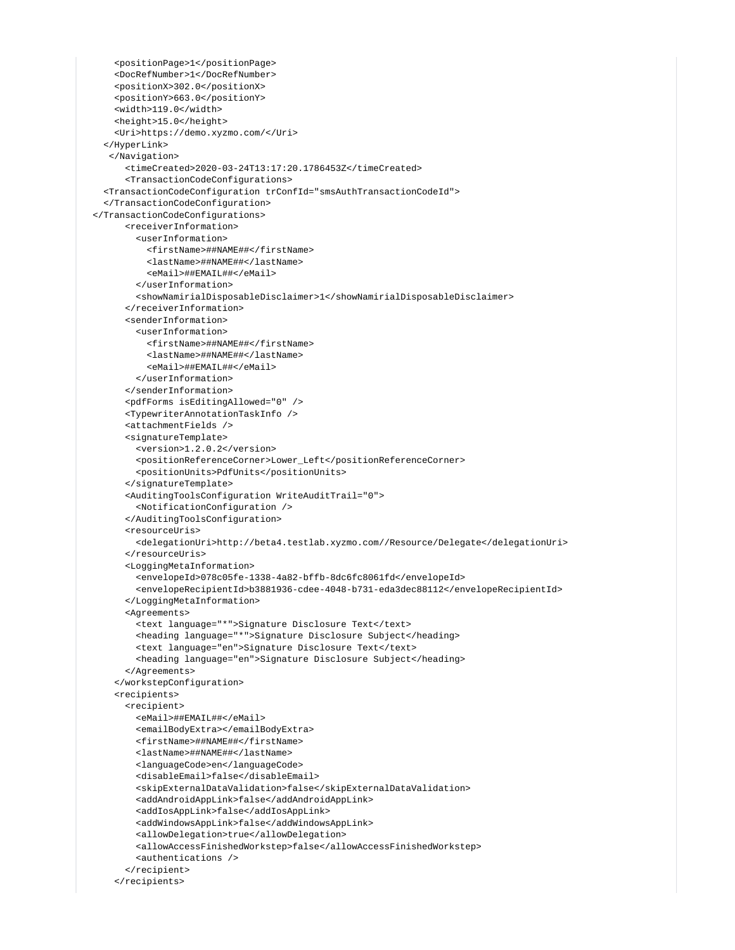```
 <positionPage>1</positionPage>
     <DocRefNumber>1</DocRefNumber>
     <positionX>302.0</positionX>
     <positionY>663.0</positionY>
     <width>119.0</width>
     <height>15.0</height>
     <Uri>https://demo.xyzmo.com/</Uri>
   </HyperLink>
   </Navigation>
       <timeCreated>2020-03-24T13:17:20.1786453Z</timeCreated>
       <TransactionCodeConfigurations>
  <TransactionCodeConfiguration trConfId="smsAuthTransactionCodeId">
   </TransactionCodeConfiguration>
 </TransactionCodeConfigurations>
       <receiverInformation>
         <userInformation>
           <firstName>##NAME##</firstName>
           <lastName>##NAME##</lastName>
           <eMail>##EMAIL##</eMail>
         </userInformation>
         <showNamirialDisposableDisclaimer>1</showNamirialDisposableDisclaimer>
       </receiverInformation>
       <senderInformation>
         <userInformation>
           <firstName>##NAME##</firstName>
           <lastName>##NAME##</lastName>
           <eMail>##EMAIL##</eMail>
         </userInformation>
       </senderInformation>
       <pdfForms isEditingAllowed="0" />
       <TypewriterAnnotationTaskInfo />
       <attachmentFields />
       <signatureTemplate>
         <version>1.2.0.2</version>
         <positionReferenceCorner>Lower_Left</positionReferenceCorner>
         <positionUnits>PdfUnits</positionUnits>
       </signatureTemplate>
       <AuditingToolsConfiguration WriteAuditTrail="0">
         <NotificationConfiguration />
       </AuditingToolsConfiguration>
       <resourceUris>
         <delegationUri>http://beta4.testlab.xyzmo.com//Resource/Delegate</delegationUri>
       </resourceUris>
       <LoggingMetaInformation>
         <envelopeId>078c05fe-1338-4a82-bffb-8dc6fc8061fd</envelopeId>
         <envelopeRecipientId>b3881936-cdee-4048-b731-eda3dec88112</envelopeRecipientId>
       </LoggingMetaInformation>
       <Agreements>
         <text language="*">Signature Disclosure Text</text>
         <heading language="*">Signature Disclosure Subject</heading>
         <text language="en">Signature Disclosure Text</text>
         <heading language="en">Signature Disclosure Subject</heading>
       </Agreements>
     </workstepConfiguration>
     <recipients>
       <recipient>
         <eMail>##EMAIL##</eMail>
         <emailBodyExtra></emailBodyExtra>
         <firstName>##NAME##</firstName>
         <lastName>##NAME##</lastName>
         <languageCode>en</languageCode>
         <disableEmail>false</disableEmail>
         <skipExternalDataValidation>false</skipExternalDataValidation>
         <addAndroidAppLink>false</addAndroidAppLink>
         <addIosAppLink>false</addIosAppLink>
         <addWindowsAppLink>false</addWindowsAppLink>
         <allowDelegation>true</allowDelegation>
         <allowAccessFinishedWorkstep>false</allowAccessFinishedWorkstep>
         <authentications />
       </recipient>
     </recipients>
```